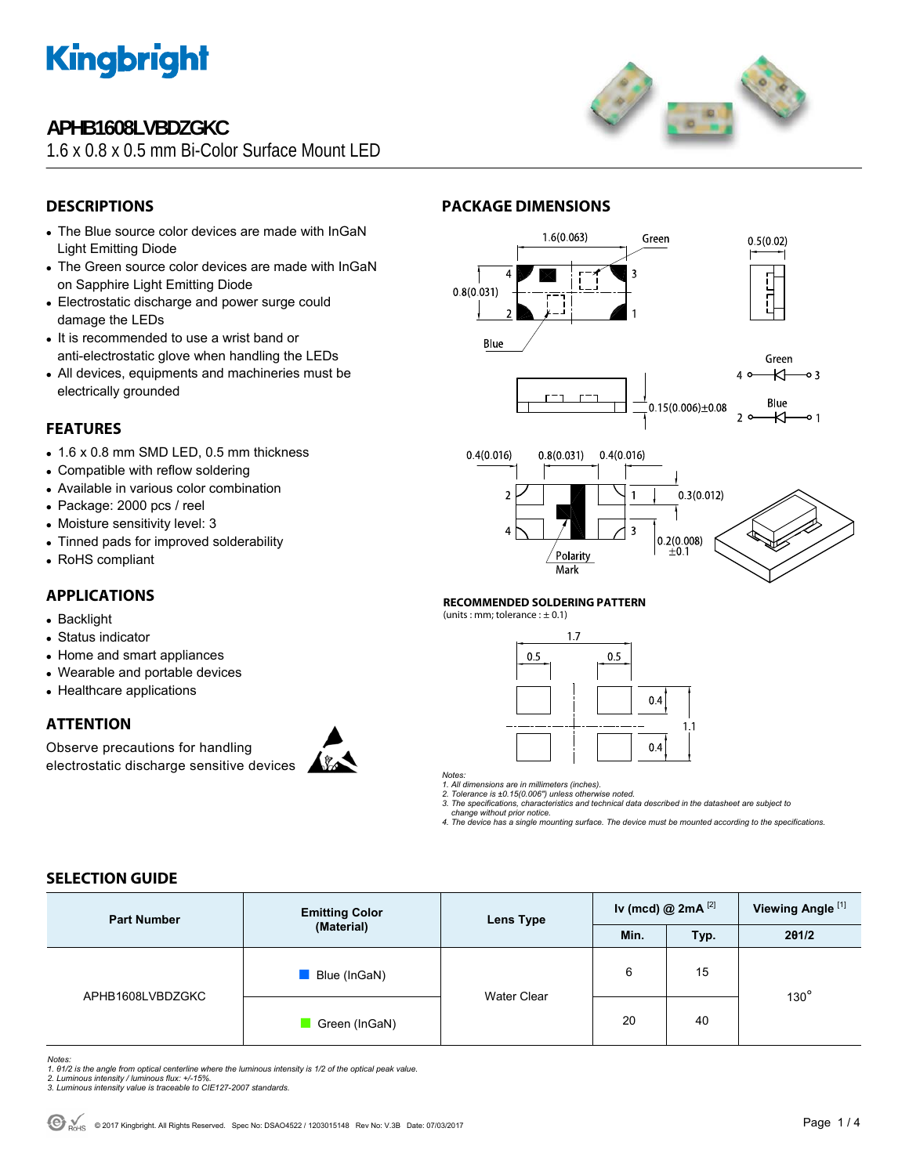

### **APHB1608LVBDZGKC**

1.6 x 0.8 x 0.5 mm Bi-Color Surface Mount I FD



### **DESCRIPTIONS**

- The Blue source color devices are made with InGaN Light Emitting Diode
- The Green source color devices are made with InGaN on Sapphire Light Emitting Diode
- Electrostatic discharge and power surge could damage the LEDs
- It is recommended to use a wrist band or anti-electrostatic glove when handling the LEDs
- All devices, equipments and machineries must be electrically grounded

### **FEATURES**

- $\bullet$  1.6 x 0.8 mm SMD LED, 0.5 mm thickness
- Compatible with reflow soldering
- Available in various color combination
- Package: 2000 pcs / reel
- Moisture sensitivity level: 3
- Tinned pads for improved solderability
- RoHS compliant

### **APPLICATIONS**

- Backlight
- Status indicator
- Home and smart appliances
- Wearable and portable devices
- Healthcare applications

### **ATTENTION**

Observe precautions for handling electrostatic discharge sensitive devices







### **RECOMMENDED SOLDERING PATTERN**

**PACKAGE DIMENSIONS** 

(units : mm; tolerance :  $\pm$  0.1)



*Notes:* 

*1. All dimensions are in millimeters (inches). 2. Tolerance is ±0.15(0.006") unless otherwise noted.* 

*3. The specifications, characteristics and technical data described in the datasheet are subject to* 

 *change without prior notice. 4. The device has a single mounting surface. The device must be mounted according to the specifications.* 

### **SELECTION GUIDE**

| <b>Part Number</b> | <b>Emitting Color</b><br>(Material) | <b>Lens Type</b>   | Iv (mcd) @ $2mA$ <sup>[2]</sup> |      | Viewing Angle <sup>[1]</sup> |  |
|--------------------|-------------------------------------|--------------------|---------------------------------|------|------------------------------|--|
|                    |                                     |                    | Min.                            | Typ. | 201/2                        |  |
| APHB1608LVBDZGKC   | Blue (InGaN)                        | <b>Water Clear</b> | 6                               | 15   | $130^\circ$                  |  |
|                    | Green (InGaN)                       |                    | 20                              | 40   |                              |  |

*Notes:* 

- *1. θ1/2 is the angle from optical centerline where the luminous intensity is 1/2 of the optical peak value. 2. Luminous intensity / luminous flux: +/-15%.*
- *3. Luminous intensity value is traceable to CIE127-2007 standards.*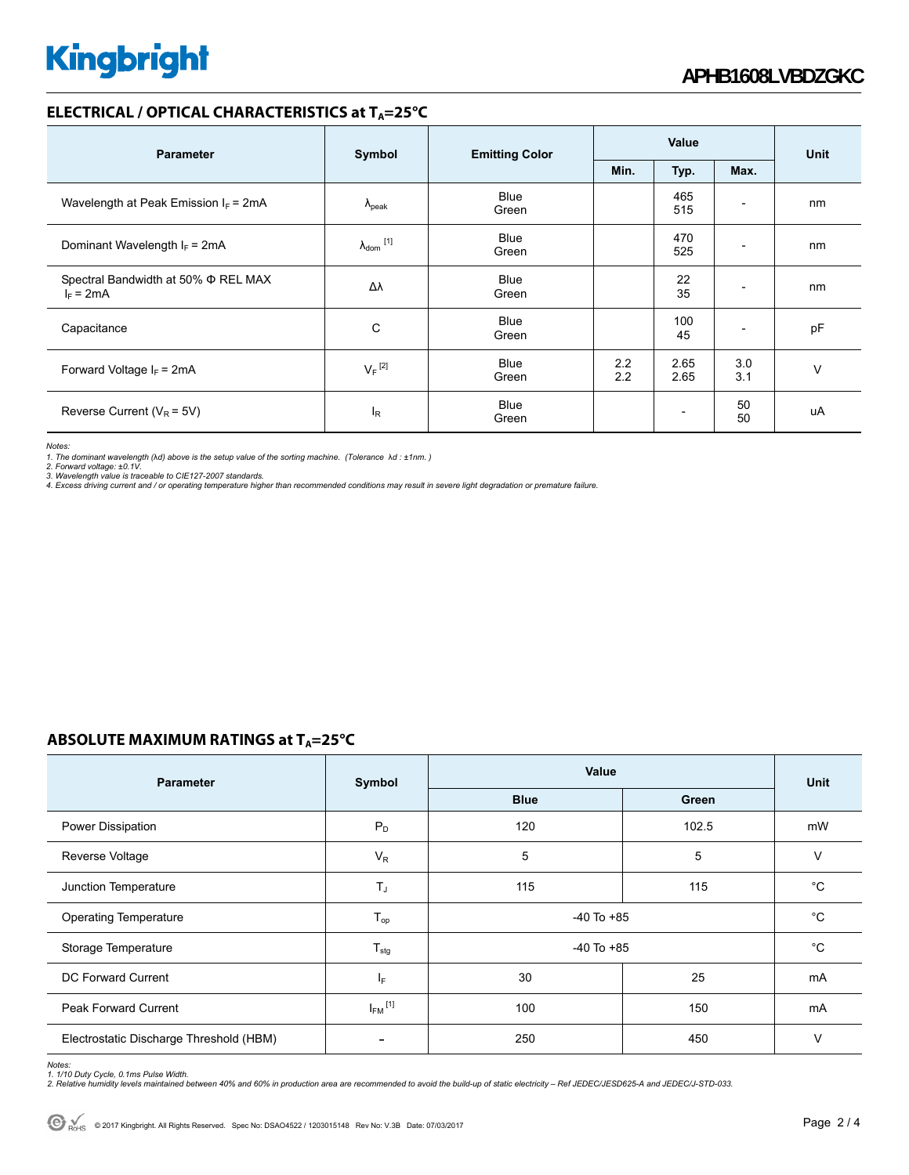### **ELECTRICAL / OPTICAL CHARACTERISTICS at T<sub>A</sub>=25°C**

| <b>Parameter</b>                                        | Symbol               | <b>Emitting Color</b> | Value      |                          |                          | <b>Unit</b> |
|---------------------------------------------------------|----------------------|-----------------------|------------|--------------------------|--------------------------|-------------|
|                                                         |                      |                       | Min.       | Typ.                     | Max.                     |             |
| Wavelength at Peak Emission $I_F$ = 2mA                 | $\Lambda_{\rm peak}$ | Blue<br>Green         |            | 465<br>515               | $\overline{\phantom{0}}$ | nm          |
| Dominant Wavelength $I_F$ = 2mA                         | $\lambda_{dom}$ [1]  | Blue<br>Green         |            | 470<br>525               | -                        | nm          |
| Spectral Bandwidth at 50% $\Phi$ REL MAX<br>$I_F = 2mA$ | Δλ                   | <b>Blue</b><br>Green  |            | 22<br>35                 | $\overline{\phantom{a}}$ | nm          |
| Capacitance                                             | C                    | <b>Blue</b><br>Green  |            | 100<br>45                | -                        | pF          |
| Forward Voltage $I_F$ = 2mA                             | $V_F$ <sup>[2]</sup> | Blue<br>Green         | 2.2<br>2.2 | 2.65<br>2.65             | 3.0<br>3.1               | $\vee$      |
| Reverse Current ( $V_R$ = 5V)                           | $I_R$                | Blue<br>Green         |            | $\overline{\phantom{a}}$ | 50<br>50                 | uA          |

*Notes:* 

1. The dominant wavelength (λd) above is the setup value of the sorting machine. (Tolerance λd : ±1nm. )<br>2. Forward voltage: ±0.1V.<br>3. Wavelength value is traceable to CIE127-2007 standards.<br>4. Excess driving current and /

### **ABSOLUTE MAXIMUM RATINGS at T<sub>A</sub>=25°C**

| <b>Parameter</b>                        | Symbol                   | Value          | <b>Unit</b> |             |
|-----------------------------------------|--------------------------|----------------|-------------|-------------|
|                                         |                          | <b>Blue</b>    | Green       |             |
| Power Dissipation                       | $P_D$                    | 120            | 102.5       | mW          |
| Reverse Voltage                         | $V_R$                    | 5              | 5           | $\vee$      |
| Junction Temperature                    | $T_J$                    | 115            | 115         | $^{\circ}C$ |
| <b>Operating Temperature</b>            | $T_{op}$                 | $-40$ To $+85$ |             | $^{\circ}C$ |
| Storage Temperature                     | $T_{\text{stg}}$         | $-40$ To $+85$ | $^{\circ}C$ |             |
| DC Forward Current                      | lF.                      | 30             | 25          | mA          |
| <b>Peak Forward Current</b>             | $I_{FM}$ <sup>[1]</sup>  | 100            | 150         | mA          |
| Electrostatic Discharge Threshold (HBM) | $\overline{\phantom{0}}$ | 250            | 450         | $\vee$      |

*Notes:* 

1. 1/10 Duty Cycle, 0.1ms Pulse Width.<br>2. Relative humidity levels maintained between 40% and 60% in production area are recommended to avoid the build-up of static electricity – Ref JEDEC/JESD625-A and JEDEC/J-STD-033.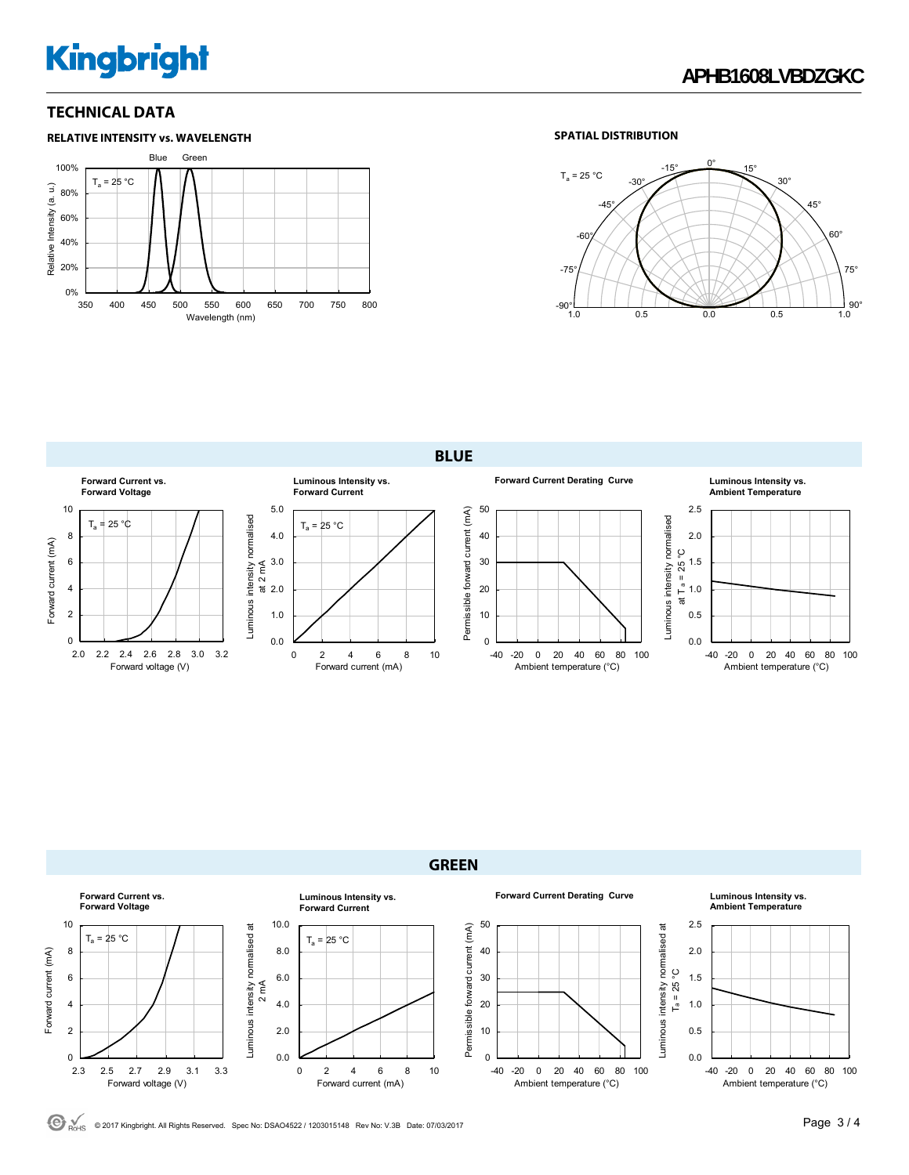# **Kingbright**

### **TECHNICAL DATA**



### **SPATIAL DISTRIBUTION**



**BLUE**